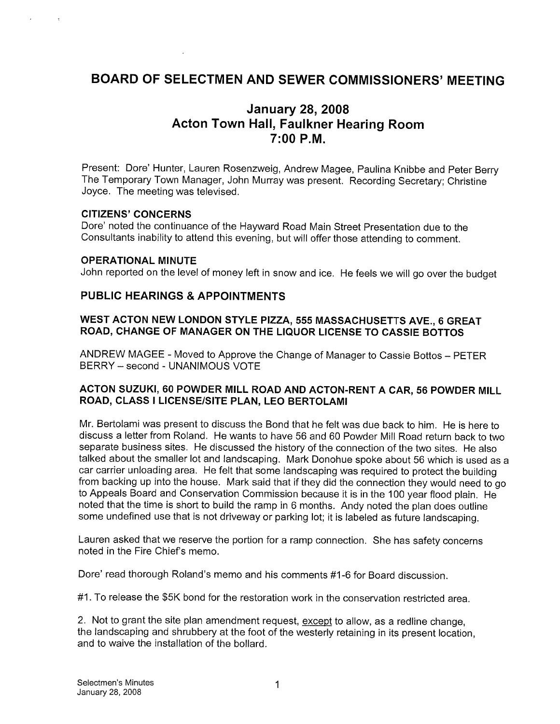# BOARD OF SELECTMEN AND SEWER COMMISSIONERS' MEETING

# January 28, 2008 Acton Town Hall, Faulkner Hearing Room 7:00 P.M.

Present: Dore' Hunter, Lauren Rosenzweig, Andrew Magee, Paulina Knibbe and Peter Berry The Temporary Town Manager, John Murray was present. Recording Secretary; Christine Joyce. The meeting was televised.

#### CITIZENS' CONCERNS

Dore' noted the continuance of the Hayward Road Main Street Presentation due to the Consultants inability to attend this evening, but will offer those attending to comment.

#### OPERATIONAL MINUTE

John reported on the level of money left in snow and ice. He feels we will go over the budget

#### PUBLIC HEARINGS & APPOINTMENTS

#### WEST ACTON NEW LONDON STYLE PIZZA, 555 MASSACHUSETTS AVE., 6 GREAT ROAD, CHANGE OF MANAGER ON THE LIQUOR LICENSE TO CASSIE BOTTOS

ANDREW MAGEE -Moved to Approve the Change of Manager to Cassie Bottos — PETER BERRY — second - UNANIMOUS VOTE

#### ACTON SUZUKI, 60 POWDER MILL ROAD AND ACTON-RENT A CAR, 56 POWDER MILL ROAD, CLASS I LICENSE/SITE PLAN, LEO BERTOLAMI

Mr. Bertolami was present to discuss the Bond that he felt was due back to him. He is here to discuss a letter from Roland. He wants to have 56 and 60 Powder Mill Road return back to two separate business sites. He discussed the history of the connection of the two sites. He also talked about the smaller lot and landscaping. Mark Donohue spoke about 56 which is used as a car carrier unloading area. He felt that some landscaping was required to protect the building from backing up into the house. Mark said that if they did the connection they would need to go to Appeals Board and Conservation Commission because it is in the 100 year flood plain. He noted that the time is short to build the ramp in <sup>6</sup> months. Andy noted the plan does outline some undefined use that is not driveway or parking lot; it is labeled as future landscaping.

Lauren asked that we reserve the portion for a ramp connection. She has safety concerns noted in the Fire Chief's memo.

Dore' read thorough Roland's memo and his comments #1-6 for Board discussion.

#1. To release the \$5K bond for the restoration work in the conservation restricted area.

2. Not to grant the site plan amendment request, except to allow, as a redline change, the landscaping and shrubbery at the foot of the westerly retaining in its present location, and to waive the installation of the bollard.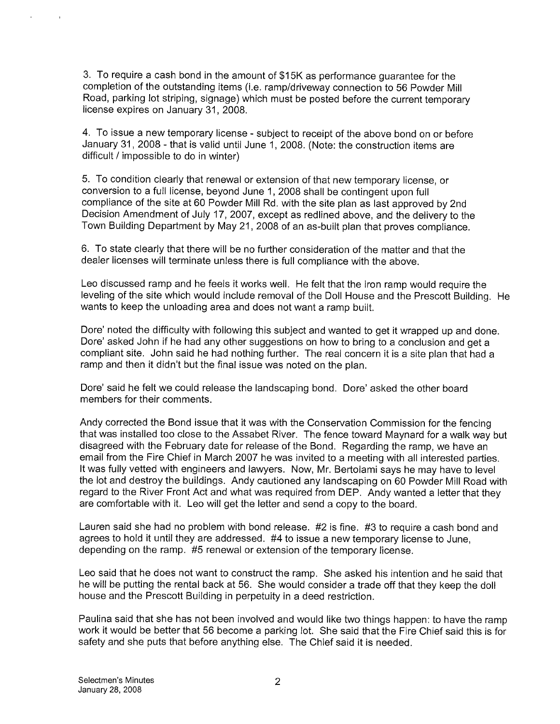3. To require a cash bond in the amount of \$1 5K as performance guarantee for the completion of the outstanding items (i.e. ramp/driveway connection to 56 Powder Mill Road, parking lot striping, signage) which must be posted before the current temporary license expires on January 31, 2008.

4. To issue a new temporary license - subject to receipt of the above bond on or before January 31, 2008 - that is valid until June 1, 2008. (Note: the construction items are difficult / impossible to do in winter)

5. To condition clearly that renewal or extension of that new temporary license, or conversion to a full license, beyond June 1, 2008 shall be contingent upon full compliance of the site at 60 Powder Mill Rd. with the site plan as last approved by 2nd Decision Amendment of July 17, 2007, except as redlined above, and the delivery to the Town Building Department by May 21, 2008 of an as-built plan that proves compliance.

6. To state clearly that there will be no further consideration of the matter and that the dealer licenses will terminate unless there is full compliance with the above.

Leo discussed ramp and he feels it works well. He felt that the iron ramp would require the leveling of the site which would include removal of the Doll House and the Prescott Building. He wants to keep the unloading area and does not want a ramp built.

Dore' noted the difficulty with following this subject and wanted to get it wrapped up and done. Dore' asked John if he had any other suggestions on how to bring to a conclusion and get a compliant site. John said he had nothing further. The real concern it is a site plan that had a ramp and then it didn't but the final issue was noted on the plan.

Dore' said he felt we could release the landscaping bond. Dore' asked the other board members for their comments.

Andy corrected the Bond issue that it was with the Conservation Commission for the fencing that was installed too close to the Assabet River. The fence toward Maynard for a walk way but disagreed with the February date for release of the Bond. Regarding the ramp, we have an email from the Fire Chief in March 2007 he was invited to a meeting with all interested parties. It was fully vetted with engineers and lawyers. Now, Mr. Bertolami says he may have to level the lot and destroy the buildings. Andy cautioned any landscaping on 60 Powder Mill Road with regard to the River Front Act and what was required from DEP. Andy wanted a letter that they are comfortable with it. Leo will get the letter and send a copy to the board.

Lauren said she had no problem with bond release. #2 is fine. #3 to require a cash bond and agrees to hold it until they are addressed. #4 to issue a new temporary license to June, depending on the ramp. #5 renewal or extension of the temporary license.

Leo said that he does not want to construct the ramp. She asked his intention and he said that he will be putting the rental back at 56. She would consider a trade off that they keep the doll house and the Prescott Building in perpetuity in a deed restriction.

Paulina said that she has not been involved and would like two things happen: to have the ramp work it would be better that 56 become a parking lot. She said that the Fire Chief said this is for safety and she puts that before anything else. The Chief said it is needed.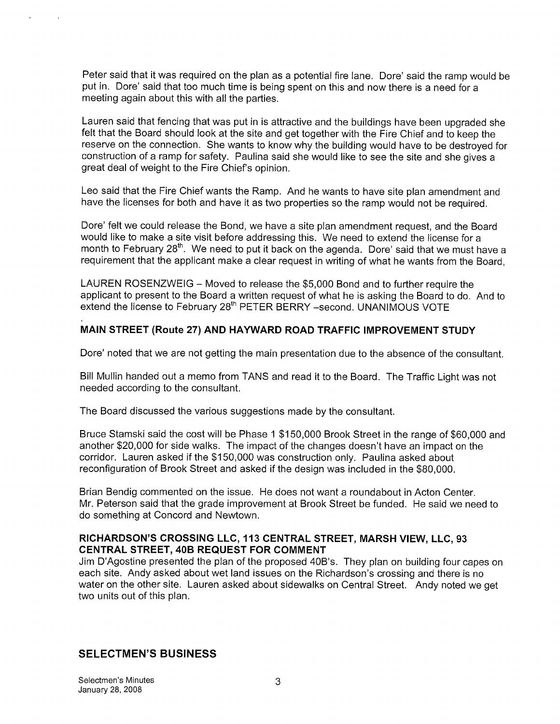Peter said that it was required on the plan as a potential fire lane. Dore' said the ramp would be put in. Dore' said that too much time is being spent on this and now there is a need for a meeting again about this with all the parties.

Lauren said that fencing that was put in is attractive and the buildings have been upgraded she felt that the Board should look at the site and get together with the Fire Chief and to keep the reserve on the connection. She wants to know why the building would have to be destroyed for construction of a ramp for safety. Paulina said she would like to see the site and she gives a great deal of weight to the Fire Chief's opinion.

Leo said that the Fire Chief wants the Ramp. And he wants to have site plan amendment and have the licenses for both and have it as two properties so the ramp would not be required.

Dore' felt we could release the Bond, we have a site plan amendment request, and the Board would like to make a site visit before addressing this. We need to extend the license for a month to February 28<sup>th</sup>. We need to put it back on the agenda. Dore' said that we must have a requirement that the applicant make a clear request in writing of what he wants from the Board,

LAUREN ROSENZWEIG — Moved to release the \$5,000 Bond and to further require the applicant to present to the Board a written request of what he is asking the Board to do. And to extend the license to February 28<sup>th</sup> PETER BERRY -second. UNANIMOUS VOTE

#### MAIN STREET (Route 27) AND HAYWARD ROAD TRAFFIC IMPROVEMENT STUDY

Dore' noted that we are not getting the main presentation due to the absence of the consultant.

Bill Mullin handed out a memo from TANS and read it to the Board. The Traffic Light was not needed according to the consultant.

The Board discussed the various suggestions made by the consultant.

Bruce Stamski said the cost will be Phase <sup>1</sup> \$150,000 Brook Street in the range of \$60,000 and another \$20,000 for side walks. The impact of the changes doesn't have an impact on the corridor. Lauren asked if the \$150,000 was construction only. Paulina asked about reconfiguration of Brook Street and asked if the design was included in the \$80,000.

Brian Bendig commented on the issue. He does not want a roundabout in Acton Center. Mr. Peterson said that the grade improvement at Brook Street be funded. He said we need to do something at Concord and Newtown.

#### RICHARDSON'S CROSSING LLC, 113 CENTRAL STREET, MARSH VIEW, LLC, 93 CENTRAL STREET, 40B REQUEST FOR COMMENT

Jim D'Agostine presented the plan of the proposed 40B's. They plan on building four capes on each site. Andy asked about wet land issues on the Richardson's crossing and there is no water on the other site. Lauren asked about sidewalks on Central Street. Andy noted we get two units out of this plan.

#### SELECTMEN'S BUSINESS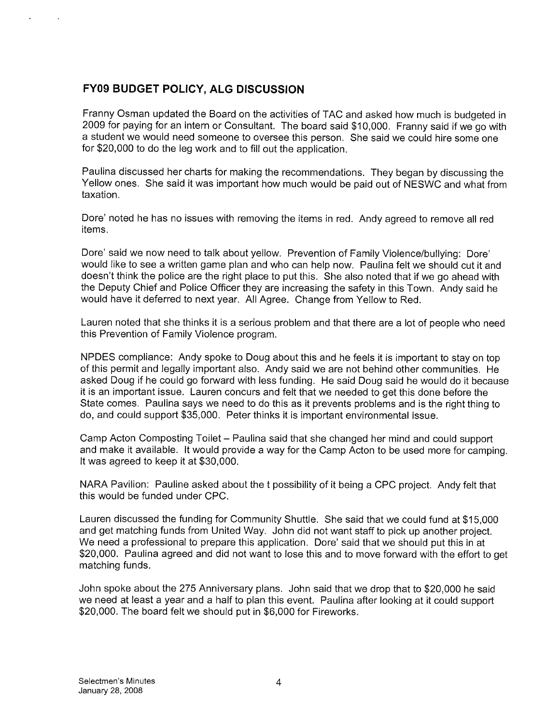# FY09 BUDGET POLICY, ALG DISCUSSION

Franny Osman updated the Board on the activities of TAC and asked how much is budgeted in 2009 for paying for an intern or Consultant. The board said \$10,000. Franny said if we go with a student we would need someone to oversee this person. She said we could hire some one for \$20,000 to do the leg work and to fill out the application.

Paulina discussed her charts for making the recommendations. They began by discussing the Yellow ones. She said it was important how much would be paid out of NESWC and what from taxation.

Dore' noted he has no issues with removing the items in red. Andy agreed to remove all red items.

Dore' said we now need to talk about yellow. Prevention of Family Violence/bullying: Dore' would like to see a written game plan and who can help now. Paulina felt we should cut it and doesn't think the police are the right place to put this. She also noted that if we go ahead with the Deputy Chief and Police Officer they are increasing the safety in this Town. Andy said he would have it deferred to next year. All Agree. Change from Yellow to Red.

Lauren noted that she thinks it is a serious problem and that there are a lot of people who need this Prevention of Family Violence program.

NPDES compliance: Andy spoke to Doug about this and he feels it is important to stay on top of this permit and legally important also. Andy said we are not behind other communities. He asked Doug if he could go forward with less funding. He said Doug said he would do it because it is an important issue. Lauren concurs and felt that we needed to get this done before the State comes. Paulina says we need to do this as it prevents problems and is the right thing to do, and could support \$35,000. Peter thinks it is important environmental issue.

Camp Acton Composting Toilet — Paulina said that she changed her mind and could support and make it available. It would provide a way for the Camp Acton to be used more for camping. It was agreed to keep it at \$30,000.

NARA Pavilion: Pauline asked about the t possibility of it being a CPC project. Andy felt that this would be funded under CPC.

Lauren discussed the funding for Community Shuttle. She said that we could fund at \$15,000 and get matching funds from United Way. John did not want staff to pick up another project. We need a professional to prepare this application. Dore' said that we should put this in at \$20,000. Paulina agreed and did not want to lose this and to move forward with the effort to get matching funds.

John spoke about the 275 Anniversary plans. John said that we drop that to \$20,000 he said we need at least a year and a half to plan this event. Paulina after looking at it could support \$20,000. The board felt we should put in \$6,000 for Fireworks.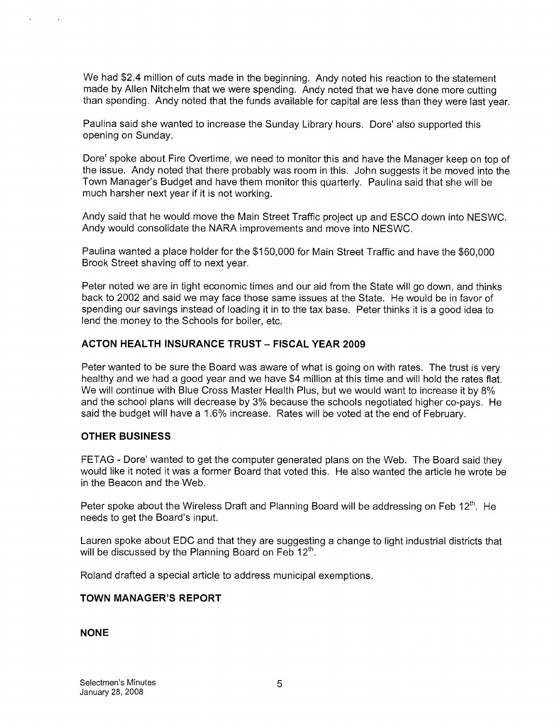We had \$2.4 million of cuts made in the beginning. Andy noted his reaction to the statement made by Allen Nitcheim that we were spending. Andy noted that we have done more cutting than spending. Andy noted that the funds available for capital are less than they were last year.

Paulina said she wanted to increase the Sunday Library hours. Dore' also supported this opening on Sunday.

Dore' spoke about Fire Overtime, we need to monitor this and have the Manager keep on top of the issue. Andy noted that there probably was room in this. John suggests it be moved into the Town Manager's Budget and have them monitor this quarterly. Paulina said that she will be much harsher next year if it is not working.

Andy said that he would move the Main Street Traffic project up and ESCO down into NESWC. Andy would consolidate the NARA improvements and move into NESWC.

Paulina wanted a place holder for the \$150,000 for Main Street Traffic and have the \$60,000 Brook Street shaving off to next year.

Peter noted we are in tight economic times and our aid from the State will go down, and thinks back to 2002 and said we may face those same issues at the State. He would be in favor of spending our savings instead of loading it in to the tax base. Peter thinks it is a good idea to lend the money to the Schools for boiler, etc.

#### ACTON HEALTH INSURANCE TRUST - FISCAL YEAR 2009

Peter wanted to be sure the Board was aware of what is going on with rates. The trust is very healthy and we had a good year and we have \$4 million at this time and will hold the rates flat. We will continue with Blue Cross Master Health Plus, but we would want to increase it by 8% and the school plans will decrease by 3% because the schools negotiated higher co-pays. He said the budget will have a <sup>1</sup> .6% increase. Rates will be voted at the end of February.

#### OTHER BUSINESS

FETAG - Dore' wanted to get the computer generated plans on the Web. The Board said they would like it noted it was a former Board that voted this. He also wanted the article he wrote be in the Beacon and the Web.

Peter spoke about the Wireless Draft and Planning Board will be addressing on Feb 12<sup>th</sup>. He needs to get the Board's input.

Lauren spoke about EDC and that they are suggesting a change to light industrial districts that<br>will be discussed by the Planning Board on Feb 12<sup>th</sup>.

Roland drafted a special article to address municipal exemptions.

#### TOWN MANAGER'S REPORT

#### NONE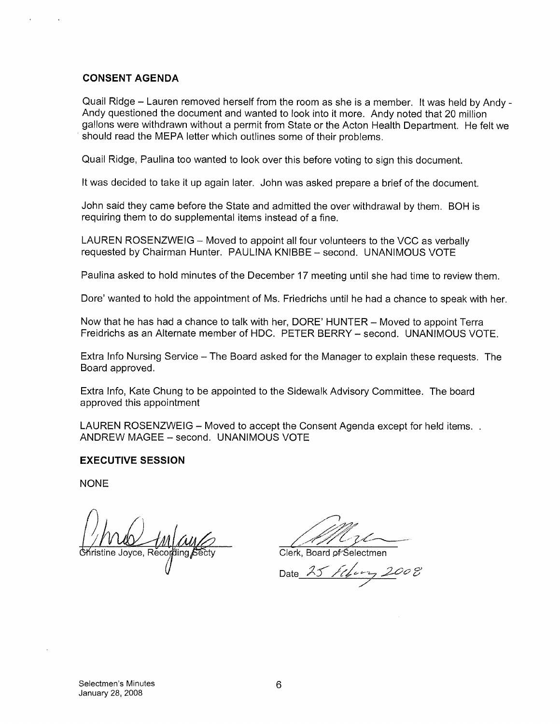#### CONSENT AGENDA

Quail Ridge — Lauren removed herself from the room as she is a member, It was held by Andy - Andy questioned the document and wanted to look into it more. Andy noted that 20 million gallons were withdrawn without a permit from State or the Acton Health Department. He felt we should read the MEPA letter which outlines some of their problems.

Quail Ridge, Paulina too wanted to look over this before voting to sign this document.

It was decided to take it up again later. John was asked prepare a brief of the document.

John said they came before the State and admitted the over withdrawal by them. BOH is requiring them to do supplemental items instead of a fine.

LAUREN ROSENZWEIG — Moved to appoint all four volunteers to the VCC as verbally requested by Chairman Hunter. PAULINA KNIBBE — second. UNANIMOUS VOTE

Paulina asked to hold minutes of the December 17 meeting until she had time to review them.

Dore' wanted to hold the appointment of Ms. Friedrichs until he had a chance to speak with her.

Now that he has had a chance to talk with her, DORE' HUNTER — Moved to appoint Terra Freidrichs as an Alternate member of HDC. PETER BERRY — second. UNANIMOUS VOTE.

Extra Info Nursing Service — The Board asked for the Manager to explain these requests. The Board approved.

Extra Info, Kate Chung to be appointed to the Sidewalk Advisory Committee. The board approved this appointment

LAUREN ROSENZWEIG — Moved to accept the Consent Agenda except for held items. ANDREW MAGEE — second. UNANIMOUS VOTE

#### EXECUTIVE SESSION

**NONE** 

Clerk. Board of Selectmen

Date  $\lambda$ 5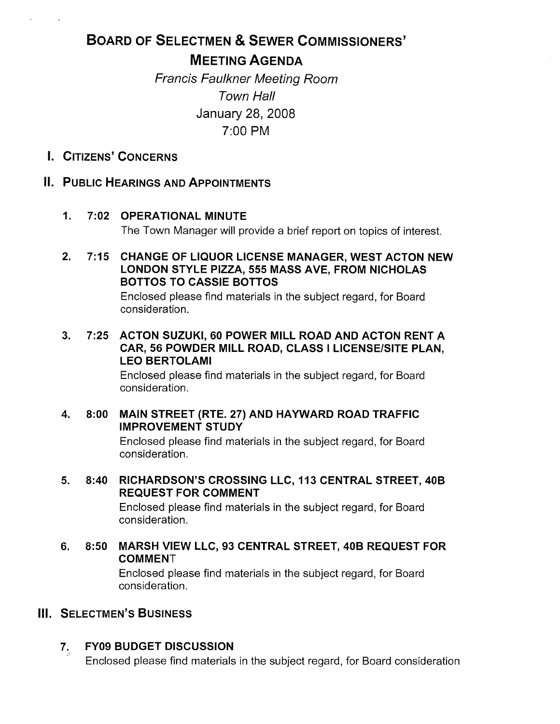# BOARD OF SELECTMEN & SEWER COMMISSIONERS' MEETING AGENDA

Francis Faulkner Meeting Room Town Hall January 28, 2008 7:00 PM

I. CITIzENs' CONCERNS

# II. PUBLIC HEARINGS AND APPOINTMENTS

#### 1. 7:02 OPERATIONAL MINUTE The Town Manager will provide a brief report on topics of interest.

2. 7:15 CHANGE OF LIQUOR LICENSE MANAGER, WEST ACTON NEW LONDON STYLE PIZZA, 555 MASS AVE, FROM NICHOLAS BOTTOS TO CASSIE BOTTOS

> Enclosed please find materials in the subject regard, for Board consideration.

3. 7:25 ACTON SUZUKI, 60 POWER MILL ROAD AND ACTON RENT A CAR, 56 POWDER MILL ROAD, CLASS <sup>I</sup> LICENSE/SITE PLAN, LEO BERTOLAMI

> Enclosed please find materials in the subject regard, for Board consideration.

4. 8:00 MAIN STREET (RTE. 27) AND HAYWARD ROAD TRAFFIC IMPROVEMENT STUDY

> Enclosed please find materials in the subject regard, for Board consideration.

5. 8:40 RICHARDSON'S CROSSING LLC, 113 CENTRAL STREET, 40B REQUEST FOR COMMENT

Enclosed please find materials in the subject regard, for Board consideration.

6. 8:50 MARSH VIEW LLC, 93 CENTRAL STREET, 40B REQUEST FOR COMMENT

> Enclosed please find materials in the subject regard, for Board consideration.

## III. SELECTMEN'S BUSINESS

## 7. FY09 BUDGET DISCUSSION

Enclosed please find materials in the subject regard, for Board consideration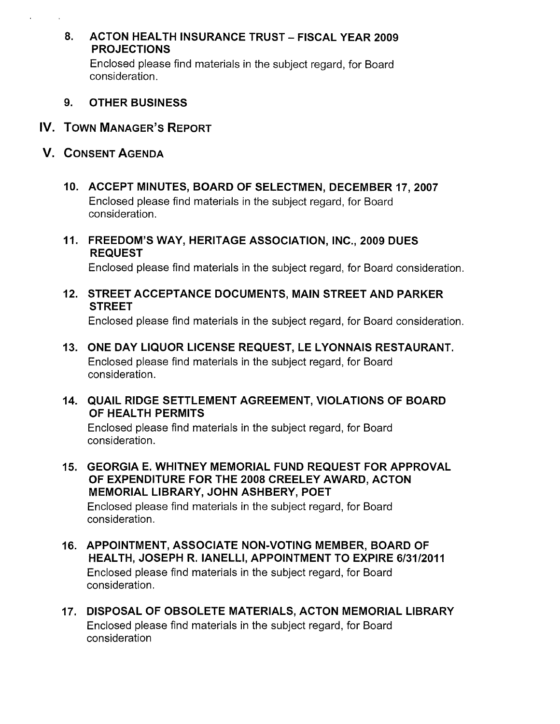#### 8. ACTON HEALTH INSURANCE TRUST - FISCAL YEAR 2009 PROJECTIONS

Enclosed please find materials in the subject regard, for Board consideration.

- 9. OTHER BUSINESS
- IV. TOWN MANAGER'S REPORT
- V. CONSENT AGENDA
	- 10. ACCEPT MINUTES, BOARD OF SELECTMEN, DECEMBER 17, 2007 Enclosed please find materials in the subject regard, for Board consideration.
	- 11. FREEDOM'S WAY, HERITAGE ASSOCIATION, INC., 2009 DUES REQUEST

Enclosed please find materials in the subject regard, for Board consideration.

12. STREET ACCEPTANCE DOCUMENTS, MAIN STREET AND PARKER **STREET** 

Enclosed please find materials in the subject regard, for Board consideration.

- 13. ONE DAY LIQUOR LICENSE REQUEST, LE LYONNAIS RESTAURANT. Enclosed please find materials in the subject regard, for Board consideration.
- 14. QUAIL RIDGE SETTLEMENT AGREEMENT, VIOLATIONS OF BOARD OF HEALTH PERMITS

Enclosed please find materials in the subject regard, for Board consideration.

15. GEORGIA E. WHITNEY MEMORIAL FUND REQUEST FOR APPROVAL OF EXPENDITURE FOR THE 2008 CREELEY AWARD, ACTON MEMORIAL LIBRARY, JOHN ASHBERY, POET

Enclosed please find materials in the subject regard, for Board consideration.

- 16. APPOINTMENT, ASSOCIATE NON-VOTING MEMBER, BOARD OF HEALTH, JOSEPH R. IANELLI, APPOINTMENT TO EXPIRE 6/3112011 Enclosed please find materials in the subject regard, for Board consideration.
- 17. DISPOSAL OF OBSOLETE MATERIALS, ACTON MEMORIAL LIBRARY Enclosed please find materials in the subject regard, for Board consideration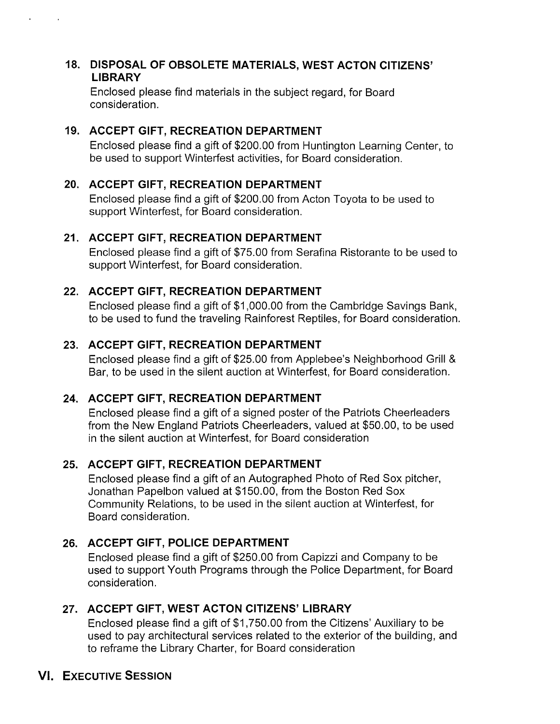#### 18. DISPOSAL OF OBSOLETE MATERIALS, WEST ACTON CITIZENS' LIBRARY

Enclosed please find materials in the subject regard, for Board consideration.

# 19. ACCEPT GIFT, RECREATION DEPARTMENT

Enclosed please find a gift of \$200.00 from Huntington Learning Center, to be used to support Winterfest activities, for Board consideration.

# 20. ACCEPT GIFT, RECREATION DEPARTMENT

Enclosed please find a gift of \$200.00 from Acton Toyota to be used to support Winterfest, for Board consideration.

# 21. ACCEPT GIFT, RECREATION DEPARTMENT

Enclosed please find a gift of \$75.00 from Serafina Ristorante to be used to support Winterfest, for Board consideration.

# 22. ACCEPT GIFT, RECREATION DEPARTMENT

Enclosed please find a gift of \$1,000.00 from the Cambridge Savings Bank, to be used to fund the traveling Rainforest Reptiles, for Board consideration.

# 23. ACCEPT GIFT, RECREATION DEPARTMENT

Enclosed please find a gift of \$25.00 from Applebee's Neighborhood Grill & Bar, to be used in the silent auction at Winterfest, for Board consideration.

# 24. ACCEPT GIFT, RECREATION DEPARTMENT

Enclosed please find a gift of a signed poster of the Patriots Cheerleaders from the New England Patriots Cheerleaders, valued at \$50.00, to be used in the silent auction at Winterfest, for Board consideration

# 25. ACCEPT GIFT, RECREATION DEPARTMENT

Enclosed please find a gift of an Autographed Photo of Red Sox pitcher, Jonathan Papelbon valued at \$150.00, from the Boston Red Sox Community Relations, to be used in the silent auction at Winterfest, for Board consideration.

# 26. ACCEPT GIFT, POLICE DEPARTMENT

Enclosed please find a gift of \$250.00 from Capizzi and Company to be used to support Youth Programs through the Police Department, for Board consideration.

# 27. ACCEPT GIFT, WEST ACTON CITIZENS' LIBRARY

Enclosed please find a gift of \$1,750.00 from the Citizens' Auxiliary to be used to pay architectural services related to the exterior of the building, and to reframe the Library Charter, for Board consideration

# VI. EXECUTIVE SESSION